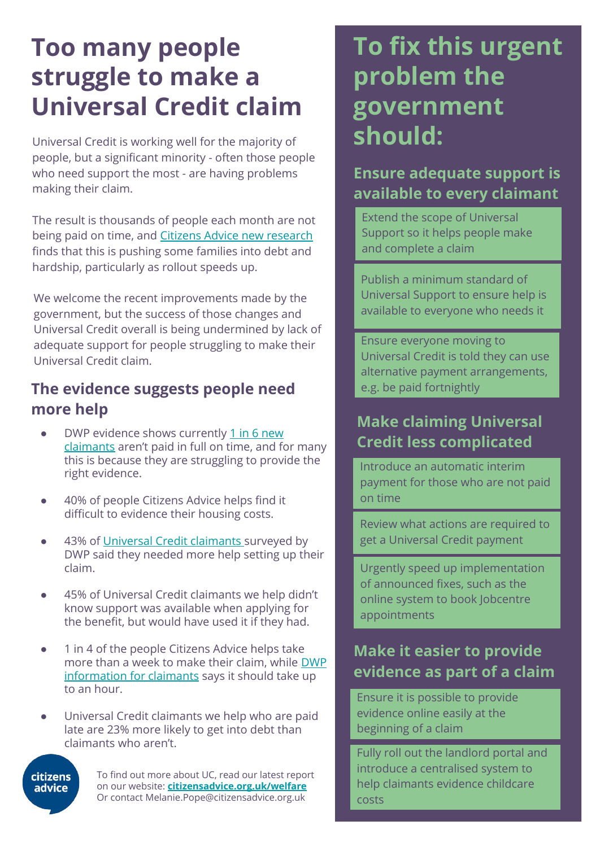# **Too many people struggle to make a Universal Credit claim**

Universal Credit is working well for the majority of people, but a significant minority - often those people who need support the most - are having problems making their claim.

The result is thousands of people each month are not being paid on time, and Citizens Advice new research finds that this is pushing some families into debt and hardship, particularly as rollout speeds up.

We welcome the recent improvements made by the government, but the success of those changes and Universal Credit overall is being undermined by lack of adequate support for people struggling to make their Universal Credit claim.

#### **The evidence suggests people need more help**

- DWP evidence shows currently 1 in 6 new claimants aren't paid in full on time, and for many this is because they are struggling to provide the right evidence.
- 40% of people Citizens Advice helps find it difficult to evidence their housing costs.
- 43% of Universal Credit claimants surveyed by DWP said they needed more help setting up their claim.
- 45% of Universal Credit claimants we help didn't know support was available when applying for the benefit, but would have used it if they had.
- 1 in 4 of the people Citizens Advice helps take more than a week to make their claim, while DWP information for claimants says it should take up to an hour.
- Universal Credit claimants we help who are paid late are 23% more likely to get into debt than claimants who aren't.



To find out more about UC, read our latest report on our website: **citizensadvice.org.uk/welfare** Or contact Melanie.Pope@citizensadvice.org.uk

## **To fix this urgent problem the government should:**

#### **Ensure adequate support is available to every claimant**

Extend the scope of Universal Support so it helps people make and complete a claim

Publish a minimum standard of Universal Support to ensure help is available to everyone who needs it

Ensure everyone moving to Universal Credit is told they can use alternative payment arrangements, e.g. be paid fortnightly

#### **Make claiming Universal Credit less complicated**

Introduce an automatic interim payment for those who are not paid on time

Review what actions are required to get a Universal Credit payment

Urgently speed up implementation of announced fixes, such as the online system to book Jobcentre appointments

#### **Make it easier to provide evidence as part of a claim**

Ensure it is possible to provide evidence online easily at the beginning of a claim

Fully roll out the landlord portal and introduce a centralised system to help claimants evidence childcare costs